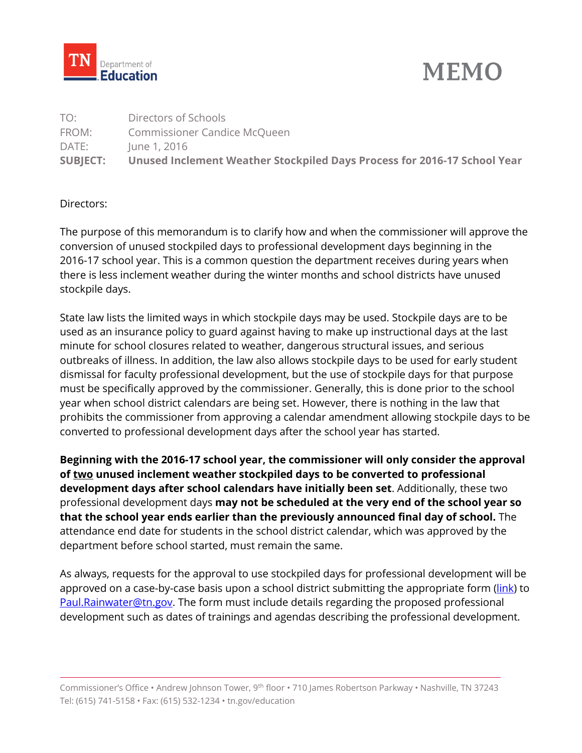



| <b>SUBJECT:</b> | Unused Inclement Weather Stockpiled Days Process for 2016-17 School Year |
|-----------------|--------------------------------------------------------------------------|
| DATE:           | June 1, 2016                                                             |
| FROM:           | Commissioner Candice McQueen                                             |
| TO:             | Directors of Schools                                                     |

## Directors:

The purpose of this memorandum is to clarify how and when the commissioner will approve the conversion of unused stockpiled days to professional development days beginning in the 2016-17 school year. This is a common question the department receives during years when there is less inclement weather during the winter months and school districts have unused stockpile days.

State law lists the limited ways in which stockpile days may be used. Stockpile days are to be used as an insurance policy to guard against having to make up instructional days at the last minute for school closures related to weather, dangerous structural issues, and serious outbreaks of illness. In addition, the law also allows stockpile days to be used for early student dismissal for faculty professional development, but the use of stockpile days for that purpose must be specifically approved by the commissioner. Generally, this is done prior to the school year when school district calendars are being set. However, there is nothing in the law that prohibits the commissioner from approving a calendar amendment allowing stockpile days to be converted to professional development days after the school year has started.

**Beginning with the 2016-17 school year, the commissioner will only consider the approval of two unused inclement weather stockpiled days to be converted to professional development days after school calendars have initially been set**. Additionally, these two professional development days **may not be scheduled at the very end of the school year so that the school year ends earlier than the previously announced final day of school.** The attendance end date for students in the school district calendar, which was approved by the department before school started, must remain the same.

As always, requests for the approval to use stockpiled days for professional development will be approved on a case-by-case basis upon a school district submitting the appropriate form [\(link\)](http://www.tn.gov/assets/entities/education/attachments/form_stockpiled_pd_days_application.docx) to [Paul.Rainwater@tn.gov.](mailto:Paul.Rainwater@tn.gov) The form must include details regarding the proposed professional development such as dates of trainings and agendas describing the professional development.

Commissioner's Office • Andrew Johnson Tower, 9th floor • 710 James Robertson Parkway • Nashville, TN 37243 Tel: (615) 741-5158 • Fax: (615) 532-1234 • tn.gov/education